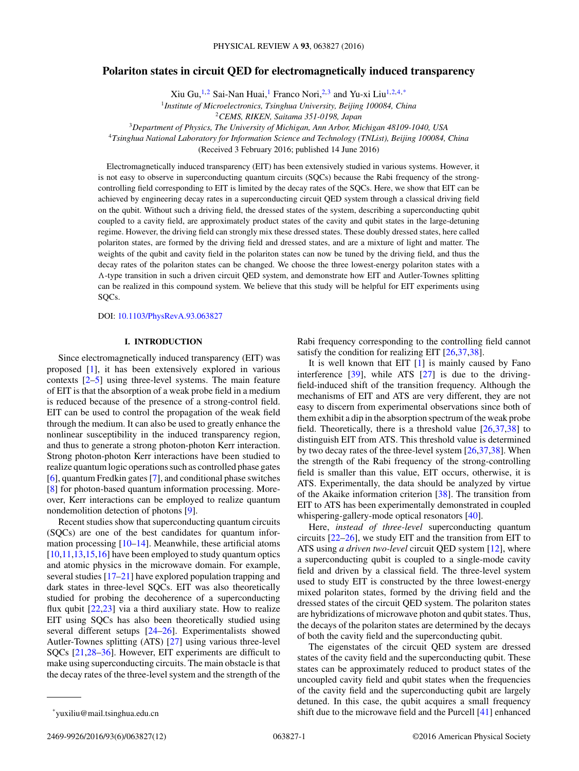## **Polariton states in circuit QED for electromagnetically induced transparency**

Xiu Gu,<sup>1,2</sup> Sai-Nan Huai,<sup>1</sup> Franco Nori,<sup>2,3</sup> and Yu-xi Liu<sup>1,2,4,\*</sup>

<sup>1</sup>*Institute of Microelectronics, Tsinghua University, Beijing 100084, China*

<sup>3</sup>*Department of Physics, The University of Michigan, Ann Arbor, Michigan 48109-1040, USA*

<sup>4</sup>*Tsinghua National Laboratory for Information Science and Technology (TNList), Beijing 100084, China*

(Received 3 February 2016; published 14 June 2016)

Electromagnetically induced transparency (EIT) has been extensively studied in various systems. However, it is not easy to observe in superconducting quantum circuits (SQCs) because the Rabi frequency of the strongcontrolling field corresponding to EIT is limited by the decay rates of the SQCs. Here, we show that EIT can be achieved by engineering decay rates in a superconducting circuit QED system through a classical driving field on the qubit. Without such a driving field, the dressed states of the system, describing a superconducting qubit coupled to a cavity field, are approximately product states of the cavity and qubit states in the large-detuning regime. However, the driving field can strongly mix these dressed states. These doubly dressed states, here called polariton states, are formed by the driving field and dressed states, and are a mixture of light and matter. The weights of the qubit and cavity field in the polariton states can now be tuned by the driving field, and thus the decay rates of the polariton states can be changed. We choose the three lowest-energy polariton states with a *-*-type transition in such a driven circuit QED system, and demonstrate how EIT and Autler-Townes splitting can be realized in this compound system. We believe that this study will be helpful for EIT experiments using SQCs.

DOI: [10.1103/PhysRevA.93.063827](http://dx.doi.org/10.1103/PhysRevA.93.063827)

### **I. INTRODUCTION**

Since electromagnetically induced transparency (EIT) was proposed [\[1\]](#page-10-0), it has been extensively explored in various contexts [\[2–5\]](#page-10-0) using three-level systems. The main feature of EIT is that the absorption of a weak probe field in a medium is reduced because of the presence of a strong-control field. EIT can be used to control the propagation of the weak field through the medium. It can also be used to greatly enhance the nonlinear susceptibility in the induced transparency region, and thus to generate a strong photon-photon Kerr interaction. Strong photon-photon Kerr interactions have been studied to realize quantum logic operations such as controlled phase gates [\[6\]](#page-10-0), quantum Fredkin gates [\[7\]](#page-10-0), and conditional phase switches [\[8\]](#page-10-0) for photon-based quantum information processing. Moreover, Kerr interactions can be employed to realize quantum nondemolition detection of photons [\[9\]](#page-10-0).

Recent studies show that superconducting quantum circuits (SQCs) are one of the best candidates for quantum information processing  $[10-14]$ . Meanwhile, these artificial atoms [\[10,11,13,15,16\]](#page-10-0) have been employed to study quantum optics and atomic physics in the microwave domain. For example, several studies [\[17–21\]](#page-10-0) have explored population trapping and dark states in three-level SQCs. EIT was also theoretically studied for probing the decoherence of a superconducting flux qubit  $[22,23]$  via a third auxiliary state. How to realize EIT using SQCs has also been theoretically studied using several different setups [\[24–26\]](#page-10-0). Experimentalists showed Autler-Townes splitting (ATS) [\[27\]](#page-10-0) using various three-level SQCs [\[21,28–36\]](#page-10-0). However, EIT experiments are difficult to make using superconducting circuits. The main obstacle is that the decay rates of the three-level system and the strength of the

Rabi frequency corresponding to the controlling field cannot satisfy the condition for realizing EIT [\[26,37,38\]](#page-10-0).

It is well known that EIT  $[1]$  is mainly caused by Fano interference [\[39\]](#page-11-0), while ATS [\[27\]](#page-10-0) is due to the drivingfield-induced shift of the transition frequency. Although the mechanisms of EIT and ATS are very different, they are not easy to discern from experimental observations since both of them exhibit a dip in the absorption spectrum of the weak probe field. Theoretically, there is a threshold value [\[26,37,38\]](#page-10-0) to distinguish EIT from ATS. This threshold value is determined by two decay rates of the three-level system [\[26,37,38\]](#page-10-0). When the strength of the Rabi frequency of the strong-controlling field is smaller than this value, EIT occurs, otherwise, it is ATS. Experimentally, the data should be analyzed by virtue of the Akaike information criterion [\[38\]](#page-10-0). The transition from EIT to ATS has been experimentally demonstrated in coupled whispering-gallery-mode optical resonators [\[40\]](#page-11-0).

Here, *instead of three-level* superconducting quantum circuits [\[22–26\]](#page-10-0), we study EIT and the transition from EIT to ATS using *a driven two-level* circuit QED system [\[12\]](#page-10-0), where a superconducting qubit is coupled to a single-mode cavity field and driven by a classical field. The three-level system used to study EIT is constructed by the three lowest-energy mixed polariton states, formed by the driving field and the dressed states of the circuit QED system. The polariton states are hybridizations of microwave photon and qubit states. Thus, the decays of the polariton states are determined by the decays of both the cavity field and the superconducting qubit.

The eigenstates of the circuit QED system are dressed states of the cavity field and the superconducting qubit. These states can be approximately reduced to product states of the uncoupled cavity field and qubit states when the frequencies of the cavity field and the superconducting qubit are largely detuned. In this case, the qubit acquires a small frequency shift due to the microwave field and the Purcell [\[41\]](#page-11-0) enhanced

2469-9926/2016/93(6)/063827(12) 063827-1 ©2016 American Physical Society

<sup>2</sup>*CEMS, RIKEN, Saitama 351-0198, Japan*

<sup>\*</sup>yuxiliu@mail.tsinghua.edu.cn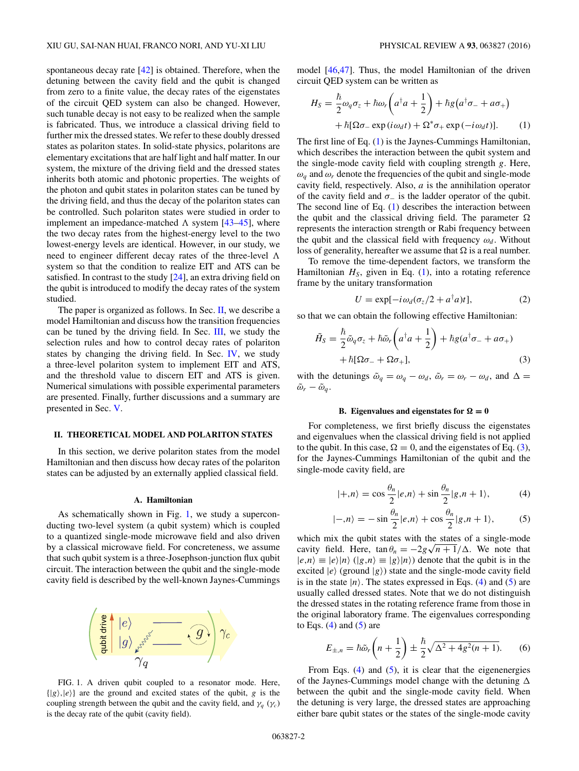<span id="page-1-0"></span>spontaneous decay rate [\[42\]](#page-11-0) is obtained. Therefore, when the detuning between the cavity field and the qubit is changed from zero to a finite value, the decay rates of the eigenstates of the circuit QED system can also be changed. However, such tunable decay is not easy to be realized when the sample is fabricated. Thus, we introduce a classical driving field to further mix the dressed states. We refer to these doubly dressed states as polariton states. In solid-state physics, polaritons are elementary excitations that are half light and half matter. In our system, the mixture of the driving field and the dressed states inherits both atomic and photonic properties. The weights of the photon and qubit states in polariton states can be tuned by the driving field, and thus the decay of the polariton states can be controlled. Such polariton states were studied in order to implement an impedance-matched  $\Lambda$  system  $[43-45]$ , where the two decay rates from the highest-energy level to the two lowest-energy levels are identical. However, in our study, we need to engineer different decay rates of the three-level  $\Lambda$ system so that the condition to realize EIT and ATS can be satisfied. In contrast to the study [\[24\]](#page-10-0), an extra driving field on the qubit is introduced to modify the decay rates of the system studied.

The paper is organized as follows. In Sec.  $II$ , we describe a model Hamiltonian and discuss how the transition frequencies can be tuned by the driving field. In Sec. [III,](#page-3-0) we study the selection rules and how to control decay rates of polariton states by changing the driving field. In Sec. [IV,](#page-6-0) we study a three-level polariton system to implement EIT and ATS, and the threshold value to discern EIT and ATS is given. Numerical simulations with possible experimental parameters are presented. Finally, further discussions and a summary are presented in Sec. [V.](#page-9-0)

#### **II. THEORETICAL MODEL AND POLARITON STATES**

In this section, we derive polariton states from the model Hamiltonian and then discuss how decay rates of the polariton states can be adjusted by an externally applied classical field.

#### **A. Hamiltonian**

As schematically shown in Fig. 1, we study a superconducting two-level system (a qubit system) which is coupled to a quantized single-mode microwave field and also driven by a classical microwave field. For concreteness, we assume that such qubit system is a three-Josephson-junction flux qubit circuit. The interaction between the qubit and the single-mode cavity field is described by the well-known Jaynes-Cummings



FIG. 1. A driven qubit coupled to a resonator mode. Here,  $\{|g\rangle, |e\rangle\}$  are the ground and excited states of the qubit, *g* is the coupling strength between the qubit and the cavity field, and  $\gamma_q$  ( $\gamma_c$ ) is the decay rate of the qubit (cavity field).

model [\[46,47\]](#page-11-0). Thus, the model Hamiltonian of the driven circuit QED system can be written as

$$
H_S = \frac{\hbar}{2}\omega_q \sigma_z + \hbar \omega_r \left( a^\dagger a + \frac{1}{2} \right) + \hbar g \left( a^\dagger \sigma_- + a \sigma_+ \right) + \hbar [\Omega \sigma_- \exp(i \omega_d t) + \Omega^* \sigma_+ \exp(-i \omega_d t)]. \tag{1}
$$

The first line of Eq. (1) is the Jaynes-Cummings Hamiltonian, which describes the interaction between the qubit system and the single-mode cavity field with coupling strength *g*. Here,  $\omega_q$  and  $\omega_r$  denote the frequencies of the qubit and single-mode cavity field, respectively. Also, *a* is the annihilation operator of the cavity field and  $\sigma_$  is the ladder operator of the qubit. The second line of Eq. (1) describes the interaction between the qubit and the classical driving field. The parameter  $\Omega$ represents the interaction strength or Rabi frequency between the qubit and the classical field with frequency  $\omega_d$ . Without loss of generality, hereafter we assume that  $\Omega$  is a real number.

To remove the time-dependent factors, we transform the Hamiltonian  $H<sub>S</sub>$ , given in Eq.  $(1)$ , into a rotating reference frame by the unitary transformation

$$
U = \exp[-i\omega_d(\sigma_z/2 + a^\dagger a)t],\tag{2}
$$

so that we can obtain the following effective Hamiltonian:

$$
\tilde{H}_{S} = \frac{\hbar}{2} \tilde{\omega}_{q} \sigma_{z} + \hbar \tilde{\omega}_{r} \left( a^{\dagger} a + \frac{1}{2} \right) + \hbar g (a^{\dagger} \sigma_{-} + a \sigma_{+}) \n+ \hbar [\Omega \sigma_{-} + \Omega \sigma_{+}], \tag{3}
$$

with the detunings  $\tilde{\omega}_q = \omega_q - \omega_d$ ,  $\tilde{\omega}_r = \omega_r - \omega_d$ , and  $\Delta =$  $\tilde{\omega}_r - \tilde{\omega}_q$ .

# **B.** Eigenvalues and eigenstates for  $\Omega = 0$

For completeness, we first briefly discuss the eigenstates and eigenvalues when the classical driving field is not applied to the qubit. In this case,  $\Omega = 0$ , and the eigenstates of Eq. (3), for the Jaynes-Cummings Hamiltonian of the qubit and the single-mode cavity field, are

$$
|+,n\rangle = \cos\frac{\theta_n}{2}|e,n\rangle + \sin\frac{\theta_n}{2}|g,n+1\rangle, \tag{4}
$$

$$
|-,n\rangle = -\sin\frac{\theta_n}{2}|e,n\rangle + \cos\frac{\theta_n}{2}|g,n+1\rangle,\tag{5}
$$

which mix the qubit states with the states of a single-mode which mix the qubit states with the states of a single-mode<br>cavity field. Here,  $\tan \theta_n = -2g\sqrt{n+1}/\Delta$ . We note that  $|e,n\rangle \equiv |e\rangle|n\rangle$  ( $|g,n\rangle \equiv |g\rangle|n\rangle$ ) denote that the qubit is in the excited  $|e\rangle$  (ground  $|g\rangle$ ) state and the single-mode cavity field is in the state  $|n\rangle$ . The states expressed in Eqs. (4) and (5) are usually called dressed states. Note that we do not distinguish the dressed states in the rotating reference frame from those in the original laboratory frame. The eigenvalues corresponding to Eqs.  $(4)$  and  $(5)$  are

$$
E_{\pm,n} = \hbar \tilde{\omega}_r \left( n + \frac{1}{2} \right) \pm \frac{\hbar}{2} \sqrt{\Delta^2 + 4g^2(n+1)}.
$$
 (6)

From Eqs.  $(4)$  and  $(5)$ , it is clear that the eigenenergies of the Jaynes-Cummings model change with the detuning  $\Delta$ between the qubit and the single-mode cavity field. When the detuning is very large, the dressed states are approaching either bare qubit states or the states of the single-mode cavity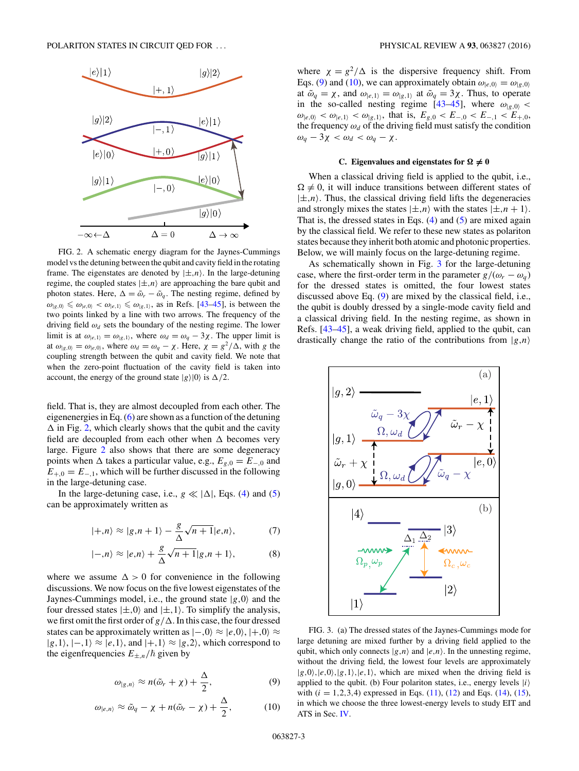<span id="page-2-0"></span>

FIG. 2. A schematic energy diagram for the Jaynes-Cummings model vs the detuning between the qubit and cavity field in the rotating frame. The eigenstates are denoted by  $|\pm, n\rangle$ . In the large-detuning regime, the coupled states  $|\pm, n\rangle$  are approaching the bare qubit and photon states. Here,  $\Delta = \tilde{\omega}_r - \tilde{\omega}_q$ . The nesting regime, defined by  $\omega_{|g,0\rangle} \leq \omega_{|e,0\rangle} < \omega_{|e,1\rangle} \leq \omega_{|g,1\rangle}$ , as in Refs. [\[43–45\]](#page-11-0), is between the two points linked by a line with two arrows. The frequency of the driving field  $\omega_d$  sets the boundary of the nesting regime. The lower limit is at  $\omega_{|e,1\rangle} = \omega_{|g,1\rangle}$ , where  $\omega_d = \omega_q - 3\chi$ . The upper limit is at  $\omega_{|g,0\rangle} = \omega_{|e,0\rangle}$ , where  $\omega_d = \omega_q - \chi$ . Here,  $\chi = g^2/\Delta$ , with *g* the coupling strength between the qubit and cavity field. We note that when the zero-point fluctuation of the cavity field is taken into account, the energy of the ground state  $|g\rangle|0\rangle$  is  $\Delta/2$ .

field. That is, they are almost decoupled from each other. The eigenenergies in Eq. [\(6\)](#page-1-0) are shown as a function of the detuning  $\Delta$  in Fig. 2, which clearly shows that the qubit and the cavity field are decoupled from each other when  $\Delta$  becomes very large. Figure 2 also shows that there are some degeneracy points when  $\Delta$  takes a particular value, e.g.,  $E_{g,0} = E_{-,0}$  and  $E_{+,0} = E_{-,1}$ , which will be further discussed in the following in the large-detuning case.

In the large-detuning case, i.e.,  $g \ll |\Delta|$ , Eqs. [\(4\)](#page-1-0) and [\(5\)](#page-1-0) can be approximately written as

$$
|+,n\rangle \approx |g,n+1\rangle - \frac{g}{\Delta}\sqrt{n+1}|e,n\rangle, \tag{7}
$$

$$
|-,n\rangle \approx |e,n\rangle + \frac{g}{\Delta}\sqrt{n+1}|g,n+1\rangle, \tag{8}
$$

where we assume  $\Delta > 0$  for convenience in the following discussions. We now focus on the five lowest eigenstates of the Jaynes-Cummings model, i.e., the ground state  $|g,0\rangle$  and the four dressed states  $|\pm, 0\rangle$  and  $|\pm, 1\rangle$ . To simplify the analysis, we first omit the first order of  $g/\Delta$ . In this case, the four dressed states can be approximately written as  $|-,0\rangle \approx |e,0\rangle, |+,0\rangle \approx$  $|g,1\rangle, |-,1\rangle \approx |e,1\rangle,$  and  $|+,1\rangle \approx |g,2\rangle$ , which correspond to the eigenfrequencies  $E_{\pm,n}/\hbar$  given by

$$
\omega_{|g,n\rangle} \approx n(\tilde{\omega}_r + \chi) + \frac{\Delta}{2},\tag{9}
$$

$$
\omega_{|e,n\rangle} \approx \tilde{\omega}_q - \chi + n(\tilde{\omega}_r - \chi) + \frac{\Delta}{2},\tag{10}
$$

where  $\chi = g^2/\Delta$  is the dispersive frequency shift. From Eqs. (9) and (10), we can approximately obtain  $\omega_{|e,0\rangle} = \omega_{|g,0\rangle}$ at  $\tilde{\omega}_q = \chi$ , and  $\omega_{|e,1\rangle} = \omega_{|g,1\rangle}$  at  $\tilde{\omega}_q = 3\chi$ . Thus, to operate in the so-called nesting regime  $[43-45]$ , where  $\omega_{|g,0\rangle}$  <  $\omega_{|e,0\rangle} < \omega_{|e,1\rangle} < \omega_{|g,1\rangle}$ , that is,  $E_{g,0} < E_{-,0} < E_{-,1} < E_{+,0}$ , the frequency  $\omega_d$  of the driving field must satisfy the condition  $ω_q - 3χ < ω_d < ω_q - χ.$ 

# **C.** Eigenvalues and eigenstates for  $\Omega \neq 0$

When a classical driving field is applied to the qubit, i.e.,  $\Omega \neq 0$ , it will induce transitions between different states of  $|\pm,n\rangle$ . Thus, the classical driving field lifts the degeneracies and strongly mixes the states  $|\pm, n\rangle$  with the states  $|\pm, n+1\rangle$ . That is, the dressed states in Eqs.  $(4)$  and  $(5)$  are mixed again by the classical field. We refer to these new states as polariton states because they inherit both atomic and photonic properties. Below, we will mainly focus on the large-detuning regime.

As schematically shown in Fig. 3 for the large-detuning case, where the first-order term in the parameter  $g/(\omega_r - \omega_q)$ for the dressed states is omitted, the four lowest states discussed above Eq. (9) are mixed by the classical field, i.e., the qubit is doubly dressed by a single-mode cavity field and a classical driving field. In the nesting regime, as shown in Refs. [\[43–45\]](#page-11-0), a weak driving field, applied to the qubit, can drastically change the ratio of the contributions from  $|g,n\rangle$ 



FIG. 3. (a) The dressed states of the Jaynes-Cummings mode for large detuning are mixed further by a driving field applied to the qubit, which only connects  $|g,n\rangle$  and  $|e,n\rangle$ . In the unnesting regime, without the driving field, the lowest four levels are approximately  $|g,0\rangle, |e,0\rangle, |g,1\rangle, |e,1\rangle$ , which are mixed when the driving field is applied to the qubit. (b) Four polariton states, i.e., energy levels  $|i\rangle$ with  $(i = 1, 2, 3, 4)$  expressed in Eqs.  $(11)$ ,  $(12)$  and Eqs.  $(14)$ ,  $(15)$ , in which we choose the three lowest-energy levels to study EIT and ATS in Sec. [IV.](#page-6-0)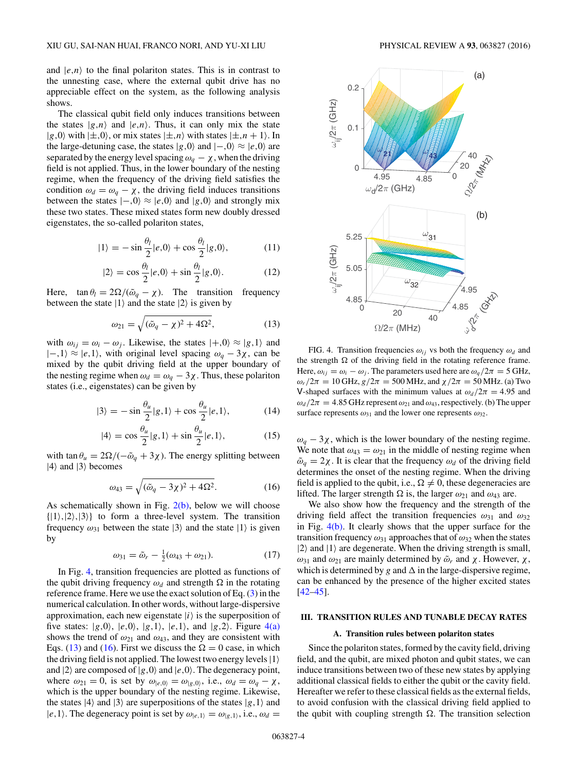<span id="page-3-0"></span>and  $|e,n\rangle$  to the final polariton states. This is in contrast to the unnesting case, where the external qubit drive has no appreciable effect on the system, as the following analysis shows.

The classical qubit field only induces transitions between the states  $|g,n\rangle$  and  $|e,n\rangle$ . Thus, it can only mix the state  $|g,0\rangle$  with  $|\pm,0\rangle$ , or mix states  $|\pm,n\rangle$  with states  $|\pm,n+1\rangle$ . In the large-detuning case, the states  $|g,0\rangle$  and  $|-,0\rangle \approx |e,0\rangle$  are separated by the energy level spacing  $\omega_q - \chi$ , when the driving field is not applied. Thus, in the lower boundary of the nesting regime, when the frequency of the driving field satisfies the condition  $\omega_d = \omega_q - \chi$ , the driving field induces transitions between the states  $|-0\rangle \approx |e,0\rangle$  and  $|g,0\rangle$  and strongly mix these two states. These mixed states form new doubly dressed eigenstates, the so-called polariton states,

$$
|1\rangle = -\sin\frac{\theta_l}{2}|e,0\rangle + \cos\frac{\theta_l}{2}|g,0\rangle, \qquad (11)
$$

$$
|2\rangle = \cos\frac{\theta_l}{2}|e,0\rangle + \sin\frac{\theta_l}{2}|g,0\rangle.
$$
 (12)

Here,  $\tan \theta_l = 2\Omega/(\tilde{\omega}_q - \chi)$ . The transition frequency between the state  $|1\rangle$  and the state  $|2\rangle$  is given by

$$
\omega_{21} = \sqrt{(\tilde{\omega}_q - \chi)^2 + 4\Omega^2},\tag{13}
$$

with  $\omega_{ij} = \omega_i - \omega_j$ . Likewise, the states  $|+,0\rangle \approx |g,1\rangle$  and  $|-, 1⟩ \approx |e, 1⟩$ , with original level spacing  $\omega_q - 3\chi$ , can be mixed by the qubit driving field at the upper boundary of the nesting regime when  $\omega_d = \omega_q - 3\chi$ . Thus, these polariton states (i.e., eigenstates) can be given by

$$
|3\rangle = -\sin\frac{\theta_u}{2}|g,1\rangle + \cos\frac{\theta_u}{2}|e,1\rangle, \tag{14}
$$

$$
|4\rangle = \cos\frac{\theta_u}{2}|g,1\rangle + \sin\frac{\theta_u}{2}|e,1\rangle, \tag{15}
$$

with tan  $\theta_u = 2\Omega/(-\tilde{\omega}_q + 3\chi)$ . The energy splitting between  $|4\rangle$  and  $|3\rangle$  becomes

$$
\omega_{43} = \sqrt{(\tilde{\omega}_q - 3\chi)^2 + 4\Omega^2}.
$$
 (16)

As schematically shown in Fig.  $2(b)$ , below we will choose  $\{|1\rangle, |2\rangle, |3\rangle\}$  to form a three-level system. The transition frequency  $\omega_{31}$  between the state  $|3\rangle$  and the state  $|1\rangle$  is given by

$$
\omega_{31} = \tilde{\omega}_r - \frac{1}{2}(\omega_{43} + \omega_{21}).\tag{17}
$$

In Fig. 4, transition frequencies are plotted as functions of the qubit driving frequency  $\omega_d$  and strength  $\Omega$  in the rotating reference frame. Here we use the exact solution of Eq. [\(3\)](#page-1-0) in the numerical calculation. In other words, without large-dispersive approximation, each new eigenstate  $|i\rangle$  is the superposition of five states:  $|g,0\rangle$ ,  $|e,0\rangle$ ,  $|g,1\rangle$ ,  $|e,1\rangle$ , and  $|g,2\rangle$ . Figure 4(a) shows the trend of  $\omega_{21}$  and  $\omega_{43}$ , and they are consistent with Eqs. (13) and (16). First we discuss the  $\Omega = 0$  case, in which the driving field is not applied. The lowest two energy levels  $|1\rangle$ and  $|2\rangle$  are composed of  $|g,0\rangle$  and  $|e,0\rangle$ . The degeneracy point, where  $\omega_{21} = 0$ , is set by  $\omega_{|e,0\rangle} = \omega_{|g,0\rangle}$ , i.e.,  $\omega_d = \omega_q - \chi$ , which is the upper boundary of the nesting regime. Likewise, the states  $|4\rangle$  and  $|3\rangle$  are superpositions of the states  $|g,1\rangle$  and  $|e, 1\rangle$ . The degeneracy point is set by  $\omega_{|e, 1\rangle} = \omega_{|g, 1\rangle}$ , i.e.,  $\omega_d =$ 



FIG. 4. Transition frequencies  $\omega_{ij}$  vs both the frequency  $\omega_d$  and the strength  $\Omega$  of the driving field in the rotating reference frame. Here,  $\omega_{ij} = \omega_i - \omega_j$ . The parameters used here are  $\omega_q/2\pi = 5$  GHz, *ωr*/2*π* = 10 GHz, *g*/2*π* = 500 MHz, and  $\chi$ /2*π* = 50 MHz. (a) Two V-shaped surfaces with the minimum values at  $\omega_d/2\pi = 4.95$  and  $\omega_d/2\pi = 4.85$  GHz represent  $\omega_{21}$  and  $\omega_{43}$ , respectively. (b) The upper surface represents  $\omega_{31}$  and the lower one represents  $\omega_{32}$ .

 $ω<sub>q</sub> − 3χ$ , which is the lower boundary of the nesting regime. We note that  $\omega_{43} = \omega_{21}$  in the middle of nesting regime when  $\tilde{\omega}_q = 2\chi$ . It is clear that the frequency  $\omega_d$  of the driving field determines the onset of the nesting regime. When the driving field is applied to the qubit, i.e.,  $\Omega \neq 0$ , these degeneracies are lifted. The larger strength  $\Omega$  is, the larger  $\omega_{21}$  and  $\omega_{43}$  are.

We also show how the frequency and the strength of the driving field affect the transition frequencies *ω*<sup>31</sup> and *ω*<sup>32</sup> in Fig.  $4(b)$ . It clearly shows that the upper surface for the transition frequency  $\omega_{31}$  approaches that of  $\omega_{32}$  when the states  $|2\rangle$  and  $|1\rangle$  are degenerate. When the driving strength is small,  $ω_{31}$  and  $ω_{21}$  are mainly determined by  $\tilde{ω}_r$  and *χ*. However, *χ*, which is determined by *g* and  $\Delta$  in the large-dispersive regime, can be enhanced by the presence of the higher excited states [\[42–45\]](#page-11-0).

#### **III. TRANSITION RULES AND TUNABLE DECAY RATES**

#### **A. Transition rules between polariton states**

Since the polariton states, formed by the cavity field, driving field, and the qubit, are mixed photon and qubit states, we can induce transitions between two of these new states by applying additional classical fields to either the qubit or the cavity field. Hereafter we refer to these classical fields as the external fields, to avoid confusion with the classical driving field applied to the qubit with coupling strength  $\Omega$ . The transition selection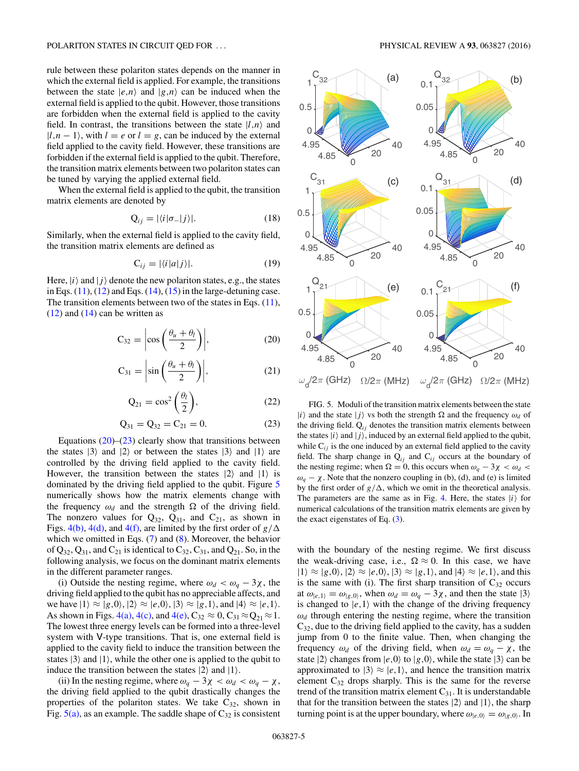<span id="page-4-0"></span>rule between these polariton states depends on the manner in which the external field is applied. For example, the transitions between the state  $|e,n\rangle$  and  $|g,n\rangle$  can be induced when the external field is applied to the qubit. However, those transitions are forbidden when the external field is applied to the cavity field. In contrast, the transitions between the state  $|l,n\rangle$  and  $|l, n-1\rangle$ , with  $l = e$  or  $l = g$ , can be induced by the external field applied to the cavity field. However, these transitions are forbidden if the external field is applied to the qubit. Therefore, the transition matrix elements between two polariton states can be tuned by varying the applied external field.

When the external field is applied to the qubit, the transition matrix elements are denoted by

$$
Q_{ij} = |\langle i|\sigma_-|j\rangle|. \tag{18}
$$

Similarly, when the external field is applied to the cavity field, the transition matrix elements are defined as

$$
C_{ij} = |\langle i|a|j\rangle|.
$$
 (19)

Here,  $|i\rangle$  and  $|j\rangle$  denote the new polariton states, e.g., the states in Eqs.  $(11)$ ,  $(12)$  and Eqs.  $(14)$ ,  $(15)$  in the large-detuning case. The transition elements between two of the states in Eqs.  $(11)$ ,  $(12)$  and  $(14)$  can be written as

$$
C_{32} = \left| \cos \left( \frac{\theta_u + \theta_l}{2} \right) \right|,\tag{20}
$$

$$
C_{31} = \left| \sin \left( \frac{\theta_u + \theta_l}{2} \right) \right|,\tag{21}
$$

$$
Q_{21} = \cos^2\left(\frac{\theta_l}{2}\right),\tag{22}
$$

$$
Q_{31} = Q_{32} = C_{21} = 0. \tag{23}
$$

Equations  $(20)$ – $(23)$  clearly show that transitions between the states  $|3\rangle$  and  $|2\rangle$  or between the states  $|3\rangle$  and  $|1\rangle$  are controlled by the driving field applied to the cavity field. However, the transition between the states  $|2\rangle$  and  $|1\rangle$  is dominated by the driving field applied to the qubit. Figure 5 numerically shows how the matrix elements change with the frequency  $\omega_d$  and the strength  $\Omega$  of the driving field. The nonzero values for  $Q_{32}$ ,  $Q_{31}$ , and  $C_{21}$ , as shown in Figs. [4\(b\),](#page-3-0) [4\(d\),](#page-3-0) and [4\(f\),](#page-3-0) are limited by the first order of  $g/\Delta$ which we omitted in Eqs. [\(7\)](#page-2-0) and [\(8\)](#page-2-0). Moreover, the behavior of  $Q_{32}$ ,  $Q_{31}$ , and  $C_{21}$  is identical to  $C_{32}$ ,  $C_{31}$ , and  $Q_{21}$ . So, in the following analysis, we focus on the dominant matrix elements in the different parameter ranges.

(i) Outside the nesting regime, where  $\omega_d < \omega_a - 3\chi$ , the driving field applied to the qubit has no appreciable affects, and we have  $|1\rangle \approx |g,0\rangle, |2\rangle \approx |e,0\rangle, |3\rangle \approx |g,1\rangle,$  and  $|4\rangle \approx |e,1\rangle.$ As shown in Figs. [4\(a\),](#page-3-0) [4\(c\),](#page-3-0) and [4\(e\),](#page-3-0)  $C_{32} \approx 0$ ,  $C_{31} \approx Q_{21} \approx 1$ . The lowest three energy levels can be formed into a three-level system with V-type transitions. That is, one external field is applied to the cavity field to induce the transition between the states  $|3\rangle$  and  $|1\rangle$ , while the other one is applied to the qubit to induce the transition between the states  $|2\rangle$  and  $|1\rangle$ .

(ii) In the nesting regime, where  $\omega_q - 3\chi < \omega_d < \omega_q - \chi$ , the driving field applied to the qubit drastically changes the properties of the polariton states. We take  $C_{32}$ , shown in Fig.  $5(a)$ , as an example. The saddle shape of  $C_{32}$  is consistent



FIG. 5. Moduli of the transition matrix elements between the state  $|i\rangle$  and the state  $|j\rangle$  vs both the strength  $\Omega$  and the frequency  $\omega_d$  of the driving field.  $Q_{ij}$  denotes the transition matrix elements between the states  $|i\rangle$  and  $|j\rangle$ , induced by an external field applied to the qubit, while  $C_{ij}$  is the one induced by an external field applied to the cavity field. The sharp change in  $Q_{ij}$  and  $C_{ij}$  occurs at the boundary of the nesting regime; when  $\Omega = 0$ , this occurs when  $\omega_q - 3\chi < \omega_d <$  $ω<sub>q</sub> − χ$ . Note that the nonzero coupling in (b), (d), and (e) is limited by the first order of  $g/\Delta$ , which we omit in the theoretical analysis. The parameters are the same as in Fig. [4.](#page-3-0) Here, the states  $|i\rangle$  for numerical calculations of the transition matrix elements are given by the exact eigenstates of Eq. [\(3\)](#page-1-0).

with the boundary of the nesting regime. We first discuss the weak-driving case, i.e.,  $\Omega \approx 0$ . In this case, we have  $|1\rangle \approx |g,0\rangle, |2\rangle \approx |e,0\rangle, |3\rangle \approx |g,1\rangle,$  and  $|4\rangle \approx |e,1\rangle$ , and this is the same with (i). The first sharp transition of  $C_{32}$  occurs at  $\omega_{|e,1\rangle} = \omega_{|g,0\rangle}$ , when  $\omega_d = \omega_q - 3\chi$ , and then the state  $|3\rangle$ is changed to  $|e,1\rangle$  with the change of the driving frequency  $\omega_d$  through entering the nesting regime, where the transition  $C_{32}$ , due to the driving field applied to the cavity, has a sudden jump from 0 to the finite value. Then, when changing the frequency  $\omega_d$  of the driving field, when  $\omega_d = \omega_q - \chi$ , the state  $|2\rangle$  changes from  $|e,0\rangle$  to  $|g,0\rangle$ , while the state  $|3\rangle$  can be approximated to  $|3\rangle \approx |e,1\rangle$ , and hence the transition matrix element  $C_{32}$  drops sharply. This is the same for the reverse trend of the transition matrix element  $C_{31}$ . It is understandable that for the transition between the states  $|2\rangle$  and  $|1\rangle$ , the sharp turning point is at the upper boundary, where  $\omega_{|e,0\rangle} = \omega_{|g,0\rangle}$ . In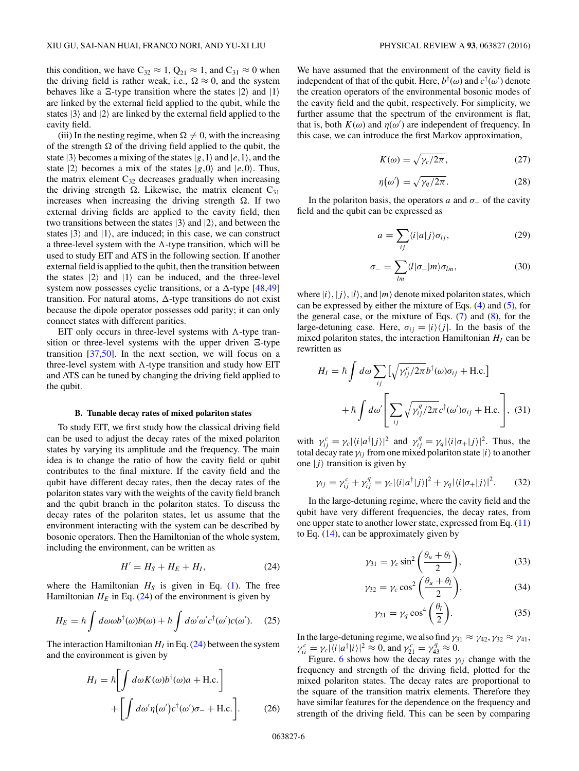<span id="page-5-0"></span>this condition, we have  $C_{32} \approx 1$ ,  $Q_{21} \approx 1$ , and  $C_{31} \approx 0$  when the driving field is rather weak, i.e.,  $\Omega \approx 0$ , and the system behaves like a  $\Xi$ -type transition where the states  $|2\rangle$  and  $|1\rangle$ are linked by the external field applied to the qubit, while the states  $|3\rangle$  and  $|2\rangle$  are linked by the external field applied to the cavity field.

(iii) In the nesting regime, when  $\Omega \neq 0$ , with the increasing of the strength  $\Omega$  of the driving field applied to the qubit, the state  $|3\rangle$  becomes a mixing of the states  $|g,1\rangle$  and  $|e,1\rangle$ , and the state  $|2\rangle$  becomes a mix of the states  $|g,0\rangle$  and  $|e,0\rangle$ . Thus, the matrix element  $C_{32}$  decreases gradually when increasing the driving strength  $\Omega$ . Likewise, the matrix element C<sub>31</sub> increases when increasing the driving strength  $\Omega$ . If two external driving fields are applied to the cavity field, then two transitions between the states  $|3\rangle$  and  $|2\rangle$ , and between the states  $|3\rangle$  and  $|1\rangle$ , are induced; in this case, we can construct a three-level system with the  $\Lambda$ -type transition, which will be used to study EIT and ATS in the following section. If another external field is applied to the qubit, then the transition between the states  $|2\rangle$  and  $|1\rangle$  can be induced, and the three-level system now possesses cyclic transitions, or a  $\triangle$ -type [\[48,49\]](#page-11-0) transition. For natural atoms,  $\Delta$ -type transitions do not exist because the dipole operator possesses odd parity; it can only connect states with different parities.

EIT only occurs in three-level systems with  $\Lambda$ -type transition or three-level systems with the upper driven  $\Xi$ -type transition  $[37,50]$  $[37,50]$ . In the next section, we will focus on a three-level system with  $\Lambda$ -type transition and study how EIT and ATS can be tuned by changing the driving field applied to the qubit.

#### **B. Tunable decay rates of mixed polariton states**

To study EIT, we first study how the classical driving field can be used to adjust the decay rates of the mixed polariton states by varying its amplitude and the frequency. The main idea is to change the ratio of how the cavity field or qubit contributes to the final mixture. If the cavity field and the qubit have different decay rates, then the decay rates of the polariton states vary with the weights of the cavity field branch and the qubit branch in the polariton states. To discuss the decay rates of the polariton states, let us assume that the environment interacting with the system can be described by bosonic operators. Then the Hamiltonian of the whole system, including the environment, can be written as

$$
H' = H_S + H_E + H_I, \tag{24}
$$

where the Hamiltonian  $H<sub>S</sub>$  is given in Eq. [\(1\)](#page-1-0). The free Hamiltonian  $H_E$  in Eq. (24) of the environment is given by

$$
H_E = \hbar \int d\omega \omega b^{\dagger}(\omega) b(\omega) + \hbar \int d\omega' \omega' c^{\dagger}(\omega') c(\omega'). \quad (25)
$$

The interaction Hamiltonian  $H_I$  in Eq. (24) between the system and the environment is given by

$$
H_{I} = \hbar \left[ \int d\omega K(\omega) b^{\dagger}(\omega) a + \text{H.c.} \right]
$$

$$
+ \left[ \int d\omega' \eta(\omega') c^{\dagger}(\omega') \sigma_{-} + \text{H.c.} \right]. \tag{26}
$$

We have assumed that the environment of the cavity field is independent of that of the qubit. Here,  $b^{\dagger}(\omega)$  and  $c^{\dagger}(\omega')$  denote the creation operators of the environmental bosonic modes of the cavity field and the qubit, respectively. For simplicity, we further assume that the spectrum of the environment is flat, that is, both  $K(\omega)$  and  $\eta(\omega')$  are independent of frequency. In this case, we can introduce the first Markov approximation,

$$
K(\omega) = \sqrt{\gamma_c/2\pi},\qquad(27)
$$

$$
\eta(\omega') = \sqrt{\gamma_q/2\pi}.\tag{28}
$$

In the polariton basis, the operators  $a$  and  $\sigma$  of the cavity field and the qubit can be expressed as

$$
a = \sum_{ij} \langle i|a|j\rangle \sigma_{ij},\tag{29}
$$

$$
\sigma_{-} = \sum_{lm} \langle l | \sigma_{-} | m \rangle \sigma_{lm}, \qquad (30)
$$

where  $|i\rangle$ ,  $|j\rangle$ ,  $|l\rangle$ , and  $|m\rangle$  denote mixed polariton states, which can be expressed by either the mixture of Eqs.  $(4)$  and  $(5)$ , for the general case, or the mixture of Eqs.  $(7)$  and  $(8)$ , for the large-detuning case. Here,  $\sigma_{ij} = |i\rangle\langle j|$ . In the basis of the mixed polariton states, the interaction Hamiltonian  $H<sub>I</sub>$  can be rewritten as

$$
H_{I} = \hbar \int d\omega \sum_{ij} \left[ \sqrt{\gamma_{ij}^{c}/2\pi} b^{\dagger}(\omega) \sigma_{ij} + \text{H.c.} \right]
$$

$$
+ \hbar \int d\omega' \left[ \sum_{ij} \sqrt{\gamma_{ij}^{q}/2\pi} c^{\dagger}(\omega') \sigma_{ij} + \text{H.c.} \right], \quad (31)
$$

with  $\gamma_{ij}^c = \gamma_c |\langle i|a^{\dagger}|j\rangle|^2$  and  $\gamma_{ij}^q = \gamma_q |\langle i|\sigma_{+}|j\rangle|^2$ . Thus, the total decay rate  $\gamma_{ij}$  from one mixed polariton state  $|i\rangle$  to another one  $|j\rangle$  transition is given by

$$
\gamma_{ij} = \gamma_{ij}^c + \gamma_{ij}^q = \gamma_c |\langle i|a^\dagger|j\rangle|^2 + \gamma_q |\langle i|\sigma_+|j\rangle|^2. \tag{32}
$$

In the large-detuning regime, where the cavity field and the qubit have very different frequencies, the decay rates, from one upper state to another lower state, expressed from Eq. [\(11\)](#page-3-0) to Eq. [\(14\)](#page-3-0), can be approximately given by

$$
\gamma_{31} = \gamma_c \sin^2\left(\frac{\theta_u + \theta_l}{2}\right),\tag{33}
$$

$$
\gamma_{32} = \gamma_c \cos^2\left(\frac{\theta_u + \theta_l}{2}\right),\tag{34}
$$

$$
\gamma_{21} = \gamma_q \cos^4\left(\frac{\theta_l}{2}\right). \tag{35}
$$

In the large-detuning regime, we also find  $\gamma_{31} \approx \gamma_{42}, \gamma_{32} \approx \gamma_{41}$ ,  $\gamma_{ii}^c = \gamma_c |\langle i|a^\dagger|i\rangle|^2 \approx 0$ , and  $\gamma_{21}^c = \gamma_{43}^q \approx 0$ .

Figure. [6](#page-6-0) shows how the decay rates  $\gamma_{ij}$  change with the frequency and strength of the driving field, plotted for the mixed polariton states. The decay rates are proportional to the square of the transition matrix elements. Therefore they have similar features for the dependence on the frequency and strength of the driving field. This can be seen by comparing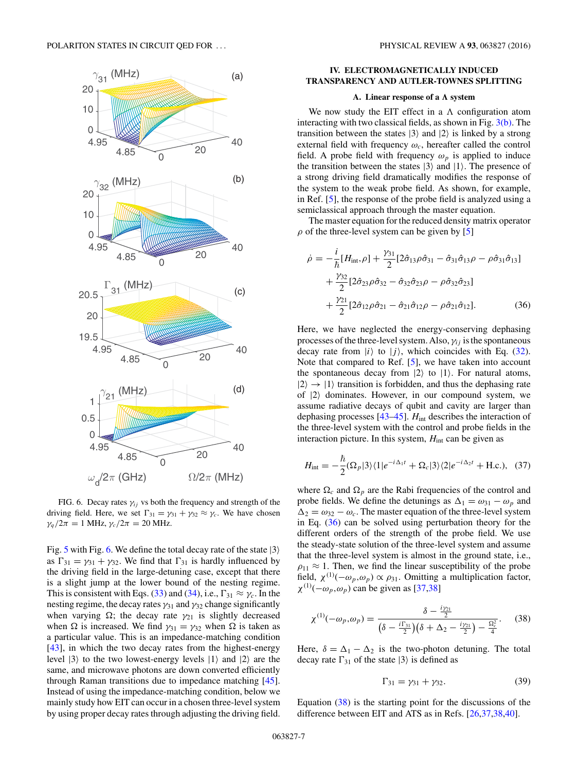<span id="page-6-0"></span>

FIG. 6. Decay rates  $\gamma_{ij}$  vs both the frequency and strength of the driving field. Here, we set  $\Gamma_{31} = \gamma_{31} + \gamma_{32} \approx \gamma_c$ . We have chosen *γ<sub>q</sub>*  $/2π = 1$  MHz,  $γ_c / 2π = 20$  MHz.

Fig. [5](#page-4-0) with Fig. 6. We define the total decay rate of the state  $|3\rangle$ as  $\Gamma_{31} = \gamma_{31} + \gamma_{32}$ . We find that  $\Gamma_{31}$  is hardly influenced by the driving field in the large-detuning case, except that there is a slight jump at the lower bound of the nesting regime. This is consistent with Eqs. [\(33\)](#page-5-0) and [\(34\)](#page-5-0), i.e.,  $\Gamma_{31} \approx \gamma_c$ . In the nesting regime, the decay rates  $\gamma_{31}$  and  $\gamma_{32}$  change significantly when varying  $\Omega$ ; the decay rate  $\gamma_{21}$  is slightly decreased when  $\Omega$  is increased. We find  $\gamma_{31} = \gamma_{32}$  when  $\Omega$  is taken as a particular value. This is an impedance-matching condition [\[43\]](#page-11-0), in which the two decay rates from the highest-energy level  $|3\rangle$  to the two lowest-energy levels  $|1\rangle$  and  $|2\rangle$  are the same, and microwave photons are down converted efficiently through Raman transitions due to impedance matching [\[45\]](#page-11-0). Instead of using the impedance-matching condition, below we mainly study how EIT can occur in a chosen three-level system by using proper decay rates through adjusting the driving field.

## **IV. ELECTROMAGNETICALLY INDUCED TRANSPARENCY AND AUTLER-TOWNES SPLITTING**

### A. Linear response of a  $\Lambda$  system

We now study the EIT effect in a  $\Lambda$  configuration atom interacting with two classical fields, as shown in Fig.  $3(b)$ . The transition between the states  $|3\rangle$  and  $|2\rangle$  is linked by a strong external field with frequency  $\omega_c$ , hereafter called the control field. A probe field with frequency  $\omega_p$  is applied to induce the transition between the states  $|3\rangle$  and  $|1\rangle$ . The presence of a strong driving field dramatically modifies the response of the system to the weak probe field. As shown, for example, in Ref. [\[5\]](#page-10-0), the response of the probe field is analyzed using a semiclassical approach through the master equation.

The master equation for the reduced density matrix operator  $\rho$  of the three-level system can be given by [\[5\]](#page-10-0)

$$
\dot{\rho} = -\frac{i}{\hbar} [H_{\text{int}}, \rho] + \frac{\gamma_{31}}{2} [2\hat{\sigma}_{13}\rho\hat{\sigma}_{31} - \hat{\sigma}_{31}\hat{\sigma}_{13}\rho - \rho\hat{\sigma}_{31}\hat{\sigma}_{13}] \n+ \frac{\gamma_{32}}{2} [2\hat{\sigma}_{23}\rho\hat{\sigma}_{32} - \hat{\sigma}_{32}\hat{\sigma}_{23}\rho - \rho\hat{\sigma}_{32}\hat{\sigma}_{23}] \n+ \frac{\gamma_{21}}{2} [2\hat{\sigma}_{12}\rho\hat{\sigma}_{21} - \hat{\sigma}_{21}\hat{\sigma}_{12}\rho - \rho\hat{\sigma}_{21}\hat{\sigma}_{12}].
$$
\n(36)

Here, we have neglected the energy-conserving dephasing processes of the three-level system. Also,  $\gamma_{ij}$  is the spontaneous decay rate from  $|i\rangle$  to  $|j\rangle$ , which coincides with Eq. [\(32\)](#page-5-0). Note that compared to Ref. [\[5\]](#page-10-0), we have taken into account the spontaneous decay from  $|2\rangle$  to  $|1\rangle$ . For natural atoms,  $|2\rangle \rightarrow |1\rangle$  transition is forbidden, and thus the dephasing rate of  $|2\rangle$  dominates. However, in our compound system, we assume radiative decays of qubit and cavity are larger than dephasing processes [\[43–45\]](#page-11-0). *H*int describes the interaction of the three-level system with the control and probe fields in the interaction picture. In this system,  $H<sub>int</sub>$  can be given as

$$
H_{\rm int} = -\frac{\hbar}{2} (\Omega_p |3\rangle\langle 1|e^{-i\Delta_1 t} + \Omega_c |3\rangle\langle 2|e^{-i\Delta_2 t} + \text{H.c.}), \quad (37)
$$

where  $\Omega_c$  and  $\Omega_p$  are the Rabi frequencies of the control and probe fields. We define the detunings as  $\Delta_1 = \omega_{31} - \omega_p$  and  $\Delta_2 = \omega_{32} - \omega_c$ . The master equation of the three-level system in Eq. (36) can be solved using perturbation theory for the different orders of the strength of the probe field. We use the steady-state solution of the three-level system and assume that the three-level system is almost in the ground state, i.e.,  $\rho_{11} \approx 1$ . Then, we find the linear susceptibility of the probe field,  $\chi^{(1)}(-\omega_p, \omega_p) \propto \rho_{31}$ . Omitting a multiplication factor,  $\chi^{(1)}(-\omega_p, \omega_p)$  can be given as [\[37,38\]](#page-10-0)

$$
\chi^{(1)}(-\omega_p, \omega_p) = \frac{\delta - \frac{i\gamma_{21}}{2}}{\left(\delta - \frac{i\Gamma_{31}}{2}\right)\left(\delta + \Delta_2 - \frac{i\gamma_{21}}{2}\right) - \frac{\Omega_c^2}{4}}.
$$
 (38)

Here,  $\delta = \Delta_1 - \Delta_2$  is the two-photon detuning. The total decay rate  $\Gamma_{31}$  of the state  $|3\rangle$  is defined as

$$
\Gamma_{31} = \gamma_{31} + \gamma_{32}.\tag{39}
$$

Equation  $(38)$  is the starting point for the discussions of the difference between EIT and ATS as in Refs. [\[26,37,38,](#page-10-0)[40\]](#page-11-0).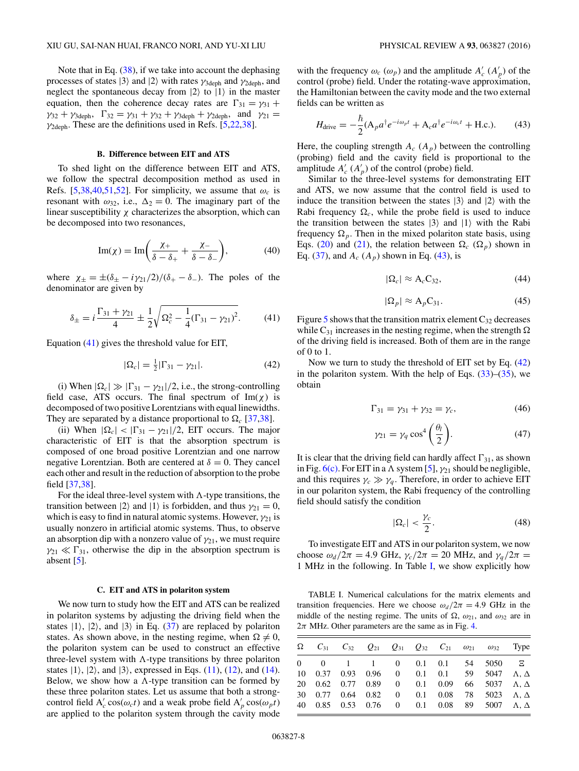<span id="page-7-0"></span>Note that in Eq. [\(38\)](#page-6-0), if we take into account the dephasing processes of states  $|3\rangle$  and  $|2\rangle$  with rates  $\gamma_{3\text{deph}}$  and  $\gamma_{2\text{deph}}$ , and neglect the spontaneous decay from  $|2\rangle$  to  $|1\rangle$  in the master equation, then the coherence decay rates are  $\Gamma_{31} = \gamma_{31} + \gamma_{32}$  $\gamma_{32} + \gamma_{3\text{deph}}$ ,  $\Gamma_{32} = \gamma_{31} + \gamma_{32} + \gamma_{3\text{deph}} + \gamma_{2\text{deph}}$ , and  $\gamma_{21} =$ *γ*2deph. These are the definitions used in Refs. [\[5,22,38\]](#page-10-0).

### **B. Difference between EIT and ATS**

To shed light on the difference between EIT and ATS, we follow the spectral decomposition method as used in Refs. [\[5,38](#page-10-0)[,40,51,52\]](#page-11-0). For simplicity, we assume that  $\omega_c$  is resonant with  $\omega_{32}$ , i.e.,  $\Delta_2 = 0$ . The imaginary part of the linear susceptibility  $\chi$  characterizes the absorption, which can be decomposed into two resonances,

$$
\operatorname{Im}(\chi) = \operatorname{Im}\left(\frac{\chi_+}{\delta - \delta_+} + \frac{\chi_-}{\delta - \delta_-}\right),\tag{40}
$$

where  $\chi_{\pm} = \pm (\delta_{\pm} - i \gamma_{21}/2)/(\delta_{+} - \delta_{-})$ . The poles of the denominator are given by

$$
\delta_{\pm} = i \frac{\Gamma_{31} + \gamma_{21}}{4} \pm \frac{1}{2} \sqrt{\Omega_c^2 - \frac{1}{4} (\Gamma_{31} - \gamma_{21})^2}.
$$
 (41)

Equation (41) gives the threshold value for EIT,

$$
|\Omega_c| = \frac{1}{2} |\Gamma_{31} - \gamma_{21}|. \tag{42}
$$

(i) When  $|\Omega_c| \gg |\Gamma_{31} - \gamma_{21}|/2$ , i.e., the strong-controlling field case, ATS occurs. The final spectrum of  $Im(\chi)$  is decomposed of two positive Lorentzians with equal linewidths. They are separated by a distance proportional to  $\Omega_c$  [\[37,38\]](#page-10-0).

(ii) When  $|\Omega_c| < |\Gamma_{31} - \gamma_{21}|/2$ , EIT occurs. The major characteristic of EIT is that the absorption spectrum is composed of one broad positive Lorentzian and one narrow negative Lorentzian. Both are centered at  $\delta = 0$ . They cancel each other and result in the reduction of absorption to the probe field [\[37,38\]](#page-10-0).

For the ideal three-level system with  $\Lambda$ -type transitions, the transition between  $|2\rangle$  and  $|1\rangle$  is forbidden, and thus  $\gamma_{21} = 0$ , which is easy to find in natural atomic systems. However,  $\gamma_{21}$  is usually nonzero in artificial atomic systems. Thus, to observe an absorption dip with a nonzero value of  $\gamma_{21}$ , we must require  $\gamma_{21} \ll \Gamma_{31}$ , otherwise the dip in the absorption spectrum is absent [\[5\]](#page-10-0).

#### **C. EIT and ATS in polariton system**

We now turn to study how the EIT and ATS can be realized in polariton systems by adjusting the driving field when the states  $|1\rangle$ ,  $|2\rangle$ , and  $|3\rangle$  in Eq. [\(37\)](#page-6-0) are replaced by polariton states. As shown above, in the nesting regime, when  $\Omega \neq 0$ , the polariton system can be used to construct an effective three-level system with  $\Lambda$ -type transitions by three polariton states  $|1\rangle$ ,  $|2\rangle$ , and  $|3\rangle$ , expressed in Eqs. [\(11\)](#page-3-0), [\(12\)](#page-3-0), and [\(14\)](#page-3-0). Below, we show how a  $\Lambda$ -type transition can be formed by these three polariton states. Let us assume that both a strongcontrol field  $A'_c \cos(\omega_c t)$  and a weak probe field  $A'_p \cos(\omega_p t)$ are applied to the polariton system through the cavity mode

with the frequency  $\omega_c$  ( $\omega_p$ ) and the amplitude  $A'_c$  ( $A'_p$ ) of the control (probe) field. Under the rotating-wave approximation, the Hamiltonian between the cavity mode and the two external fields can be written as

$$
H_{\text{drive}} = -\frac{\hbar}{2} (A_p a^\dagger e^{-i\omega_p t} + A_c a^\dagger e^{-i\omega_c t} + \text{H.c.}).\tag{43}
$$

Here, the coupling strength  $A_c$  ( $A_p$ ) between the controlling (probing) field and the cavity field is proportional to the amplitude  $A'_{c}$  ( $A'_{p}$ ) of the control (probe) field.

Similar to the three-level systems for demonstrating EIT and ATS, we now assume that the control field is used to induce the transition between the states  $|3\rangle$  and  $|2\rangle$  with the Rabi frequency  $\Omega_c$ , while the probe field is used to induce the transition between the states  $|3\rangle$  and  $|1\rangle$  with the Rabi frequency  $\Omega_p$ . Then in the mixed polariton state basis, using Eqs. [\(20\)](#page-4-0) and [\(21\)](#page-4-0), the relation between  $\Omega_c$  ( $\Omega_p$ ) shown in Eq. [\(37\)](#page-6-0), and  $A_c$  ( $A_p$ ) shown in Eq. (43), is

$$
|\Omega_c| \approx A_c C_{32},\tag{44}
$$

$$
|\Omega_p| \approx A_p C_{31}.\tag{45}
$$

Figure [5](#page-4-0) shows that the transition matrix element  $C_{32}$  decreases while C<sub>31</sub> increases in the nesting regime, when the strength  $\Omega$ of the driving field is increased. Both of them are in the range of 0 to 1.

Now we turn to study the threshold of EIT set by Eq. (42) in the polariton system. With the help of Eqs.  $(33)$ – $(35)$ , we obtain

$$
\Gamma_{31} = \gamma_{31} + \gamma_{32} = \gamma_c, \tag{46}
$$

$$
\gamma_{21} = \gamma_q \cos^4\left(\frac{\theta_l}{2}\right). \tag{47}
$$

It is clear that the driving field can hardly affect  $\Gamma_{31}$ , as shown in Fig.  $6(c)$ . For EIT in a  $\Lambda$  system [\[5\]](#page-10-0),  $\gamma_{21}$  should be negligible, and this requires  $\gamma_c \gg \gamma_q$ . Therefore, in order to achieve EIT in our polariton system, the Rabi frequency of the controlling field should satisfy the condition

$$
|\Omega_c| < \frac{\gamma_c}{2}.\tag{48}
$$

To investigate EIT and ATS in our polariton system, we now choose  $\omega_d/2\pi = 4.9$  GHz,  $\gamma_c/2\pi = 20$  MHz, and  $\gamma_q/2\pi =$ 1 MHz in the following. In Table I, we show explicitly how

TABLE I. Numerical calculations for the matrix elements and transition frequencies. Here we choose  $\omega_d/2\pi = 4.9$  GHz in the middle of the nesting regime. The units of  $\Omega$ ,  $\omega_{21}$ , and  $\omega_{32}$  are in  $2\pi$  MHz. Other parameters are the same as in Fig. [4.](#page-3-0)

|  |  |  |  | $\Omega$ $C_{31}$ $C_{32}$ $Q_{21}$ $Q_{31}$ $Q_{32}$ $C_{21}$ $\omega_{21}$ $\omega_{32}$ Type |  |
|--|--|--|--|-------------------------------------------------------------------------------------------------|--|
|  |  |  |  | $0 \t 0 \t 1 \t 1 \t 0 \t 0.1 \t 0.1 \t 54 \t 5050 \t E$                                        |  |
|  |  |  |  | 10 0.37 0.93 0.96 0 0.1 0.1 59 5047 $\Lambda$ , $\Delta$                                        |  |
|  |  |  |  | 20 0.62 0.77 0.89 0 0.1 0.09 66 5037 Λ, Δ                                                       |  |
|  |  |  |  | 30 0.77 0.64 0.82 0 0.1 0.08 78 5023 $\Lambda$ , $\Delta$                                       |  |
|  |  |  |  | 40 $0.85$ $0.53$ $0.76$ 0 $0.1$ $0.08$ 89 $5007$ A, $\Delta$                                    |  |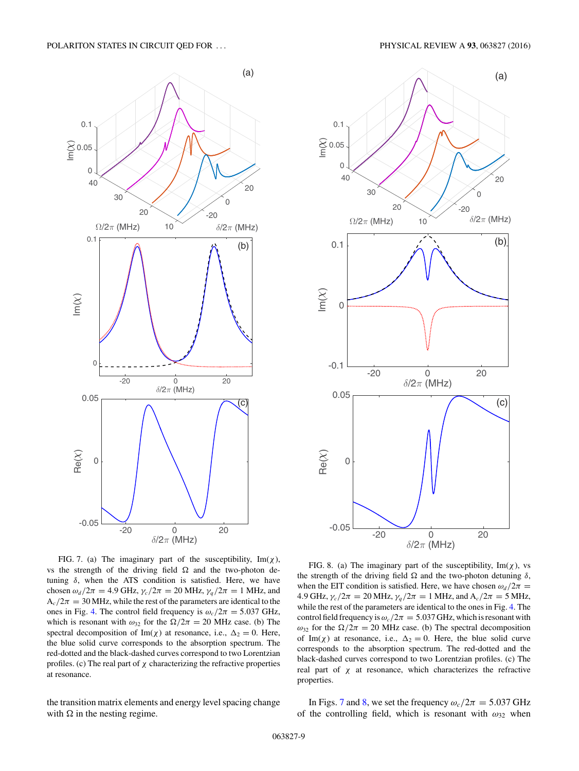#### <span id="page-8-0"></span>POLARITON STATES IN CIRCUIT QED FOR . . . PHYSICAL REVIEW A **93**, 063827 (2016)



FIG. 7. (a) The imaginary part of the susceptibility,  $\text{Im}(\chi)$ , vs the strength of the driving field  $\Omega$  and the two-photon detuning *δ*, when the ATS condition is satisfied. Here, we have chosen  $\omega_d/2\pi = 4.9$  GHz,  $\gamma_c/2\pi = 20$  MHz,  $\gamma_q/2\pi = 1$  MHz, and  $A_c/2\pi = 30$  MHz, while the rest of the parameters are identical to the ones in Fig. [4.](#page-3-0) The control field frequency is  $\omega_c/2\pi = 5.037$  GHz, which is resonant with  $\omega_{32}$  for the  $\Omega/2\pi = 20$  MHz case. (b) The spectral decomposition of Im( $\chi$ ) at resonance, i.e.,  $\Delta_2 = 0$ . Here, the blue solid curve corresponds to the absorption spectrum. The red-dotted and the black-dashed curves correspond to two Lorentzian profiles. (c) The real part of  $\chi$  characterizing the refractive properties at resonance.

the transition matrix elements and energy level spacing change with  $\Omega$  in the nesting regime.



FIG. 8. (a) The imaginary part of the susceptibility,  $Im(\chi)$ , vs the strength of the driving field  $\Omega$  and the two-photon detuning  $\delta$ , when the EIT condition is satisfied. Here, we have chosen  $\omega_d/2\pi$  = 4.9 GHz,  $\gamma_c/2\pi = 20$  MHz,  $\gamma_q/2\pi = 1$  MHz, and  $A_c/2\pi = 5$  MHz, while the rest of the parameters are identical to the ones in Fig. [4.](#page-3-0) The control field frequency is  $\omega_c/2\pi = 5.037$  GHz, which is resonant with  $ω_{32}$  for the  $\Omega/2\pi = 20$  MHz case. (b) The spectral decomposition of Im( $\chi$ ) at resonance, i.e.,  $\Delta_2 = 0$ . Here, the blue solid curve corresponds to the absorption spectrum. The red-dotted and the black-dashed curves correspond to two Lorentzian profiles. (c) The real part of  $\chi$  at resonance, which characterizes the refractive properties.

In Figs. 7 and 8, we set the frequency  $\omega_c/2\pi = 5.037$  GHz of the controlling field, which is resonant with *ω*<sup>32</sup> when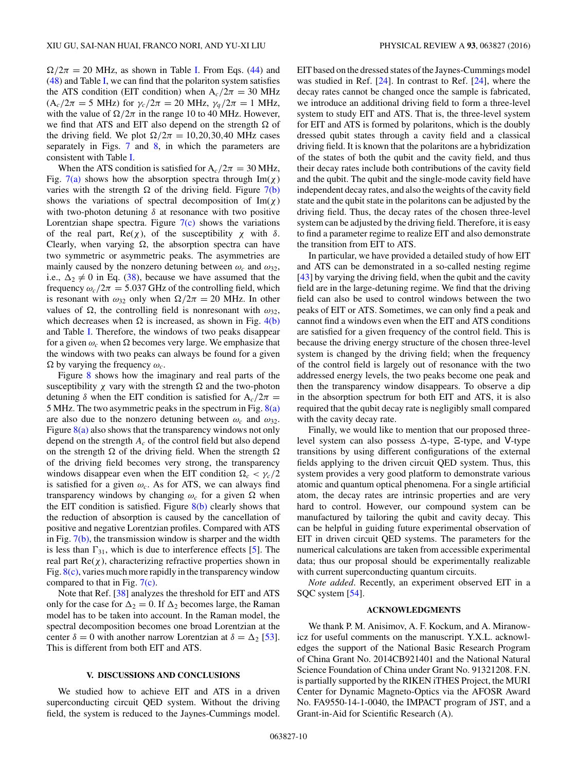<span id="page-9-0"></span> $\Omega/2\pi = 20$  MHz, as shown in Table [I.](#page-7-0) From Eqs. [\(44\)](#page-7-0) and [\(48\)](#page-7-0) and Table [I,](#page-7-0) we can find that the polariton system satisfies the ATS condition (EIT condition) when  $A_c/2\pi = 30$  MHz  $(A_c/2\pi = 5 \text{ MHz})$  for  $\gamma_c/2\pi = 20 \text{ MHz}$ ,  $\gamma_q/2\pi = 1 \text{ MHz}$ , with the value of  $\Omega/2\pi$  in the range 10 to 40 MHz. However, we find that ATS and EIT also depend on the strength  $\Omega$  of the driving field. We plot  $\Omega/2\pi = 10, 20, 30, 40$  MHz cases separately in Figs. [7](#page-8-0) and [8,](#page-8-0) in which the parameters are consistent with Table [I.](#page-7-0)

When the ATS condition is satisfied for  $A_c/2\pi = 30$  MHz, Fig.  $7(a)$  shows how the absorption spectra through Im( $\chi$ ) varies with the strength  $\Omega$  of the driving field. Figure  $7(b)$ shows the variations of spectral decomposition of  $Im(\chi)$ with two-photon detuning *δ* at resonance with two positive Lorentzian shape spectra. Figure  $7(c)$  shows the variations of the real part,  $\text{Re}(\chi)$ , of the susceptibility  $\chi$  with  $\delta$ . Clearly, when varying  $\Omega$ , the absorption spectra can have two symmetric or asymmetric peaks. The asymmetries are mainly caused by the nonzero detuning between  $\omega_c$  and  $\omega_{32}$ , i.e.,  $\Delta_2 \neq 0$  in Eq. [\(38\)](#page-6-0), because we have assumed that the frequency  $\omega_c/2\pi = 5.037$  GHz of the controlling field, which is resonant with  $\omega_{32}$  only when  $\Omega/2\pi = 20$  MHz. In other values of  $\Omega$ , the controlling field is nonresonant with  $\omega_{32}$ , which decreases when  $\Omega$  is increased, as shown in Fig. [4\(b\)](#page-3-0) and Table [I.](#page-7-0) Therefore, the windows of two peaks disappear for a given  $\omega_c$  when  $\Omega$  becomes very large. We emphasize that the windows with two peaks can always be found for a given  $\Omega$  by varying the frequency  $\omega_c$ .

Figure [8](#page-8-0) shows how the imaginary and real parts of the susceptibility  $\chi$  vary with the strength  $\Omega$  and the two-photon detuning  $\delta$  when the EIT condition is satisfied for A<sub>c</sub>/2 $\pi$  = 5 MHz. The two asymmetric peaks in the spectrum in Fig.  $8(a)$ are also due to the nonzero detuning between  $\omega_c$  and  $\omega_{32}$ . Figure  $8(a)$  also shows that the transparency windows not only depend on the strength *Ac* of the control field but also depend on the strength  $\Omega$  of the driving field. When the strength  $\Omega$ of the driving field becomes very strong, the transparency windows disappear even when the EIT condition  $\Omega_c < \gamma_c/2$ is satisfied for a given  $\omega_c$ . As for ATS, we can always find transparency windows by changing  $\omega_c$  for a given  $\Omega$  when the EIT condition is satisfied. Figure [8\(b\)](#page-8-0) clearly shows that the reduction of absorption is caused by the cancellation of positive and negative Lorentzian profiles. Compared with ATS in Fig.  $7(b)$ , the transmission window is sharper and the width is less than  $\Gamma_{31}$ , which is due to interference effects [\[5\]](#page-10-0). The real part  $Re(\chi)$ , characterizing refractive properties shown in Fig.  $8(c)$ , varies much more rapidly in the transparency window compared to that in Fig.  $7(c)$ .

Note that Ref. [\[38\]](#page-10-0) analyzes the threshold for EIT and ATS only for the case for  $\Delta_2 = 0$ . If  $\Delta_2$  becomes large, the Raman model has to be taken into account. In the Raman model, the spectral decomposition becomes one broad Lorentzian at the center  $\delta = 0$  with another narrow Lorentzian at  $\delta = \Delta_2$  [\[53\]](#page-11-0). This is different from both EIT and ATS.

#### **V. DISCUSSIONS AND CONCLUSIONS**

We studied how to achieve EIT and ATS in a driven superconducting circuit QED system. Without the driving field, the system is reduced to the Jaynes-Cummings model.

EIT based on the dressed states of the Jaynes-Cummings model was studied in Ref. [\[24\]](#page-10-0). In contrast to Ref. [\[24\]](#page-10-0), where the decay rates cannot be changed once the sample is fabricated, we introduce an additional driving field to form a three-level system to study EIT and ATS. That is, the three-level system for EIT and ATS is formed by polaritons, which is the doubly dressed qubit states through a cavity field and a classical driving field. It is known that the polaritons are a hybridization of the states of both the qubit and the cavity field, and thus their decay rates include both contributions of the cavity field and the qubit. The qubit and the single-mode cavity field have independent decay rates, and also the weights of the cavity field state and the qubit state in the polaritons can be adjusted by the driving field. Thus, the decay rates of the chosen three-level system can be adjusted by the driving field. Therefore, it is easy to find a parameter regime to realize EIT and also demonstrate the transition from EIT to ATS.

In particular, we have provided a detailed study of how EIT and ATS can be demonstrated in a so-called nesting regime [\[43\]](#page-11-0) by varying the driving field, when the qubit and the cavity field are in the large-detuning regime. We find that the driving field can also be used to control windows between the two peaks of EIT or ATS. Sometimes, we can only find a peak and cannot find a windows even when the EIT and ATS conditions are satisfied for a given frequency of the control field. This is because the driving energy structure of the chosen three-level system is changed by the driving field; when the frequency of the control field is largely out of resonance with the two addressed energy levels, the two peaks become one peak and then the transparency window disappears. To observe a dip in the absorption spectrum for both EIT and ATS, it is also required that the qubit decay rate is negligibly small compared with the cavity decay rate.

Finally, we would like to mention that our proposed threelevel system can also possess  $\Delta$ -type,  $\Xi$ -type, and V-type transitions by using different configurations of the external fields applying to the driven circuit QED system. Thus, this system provides a very good platform to demonstrate various atomic and quantum optical phenomena. For a single artificial atom, the decay rates are intrinsic properties and are very hard to control. However, our compound system can be manufactured by tailoring the qubit and cavity decay. This can be helpful in guiding future experimental observation of EIT in driven circuit QED systems. The parameters for the numerical calculations are taken from accessible experimental data; thus our proposal should be experimentally realizable with current superconducting quantum circuits.

*Note added*. Recently, an experiment observed EIT in a SQC system [\[54\]](#page-11-0).

## **ACKNOWLEDGMENTS**

We thank P. M. Anisimov, A. F. Kockum, and A. Miranowicz for useful comments on the manuscript. Y.X.L. acknowledges the support of the National Basic Research Program of China Grant No. 2014CB921401 and the National Natural Science Foundation of China under Grant No. 91321208. F.N. is partially supported by the RIKEN iTHES Project, the MURI Center for Dynamic Magneto-Optics via the AFOSR Award No. FA9550-14-1-0040, the IMPACT program of JST, and a Grant-in-Aid for Scientific Research (A).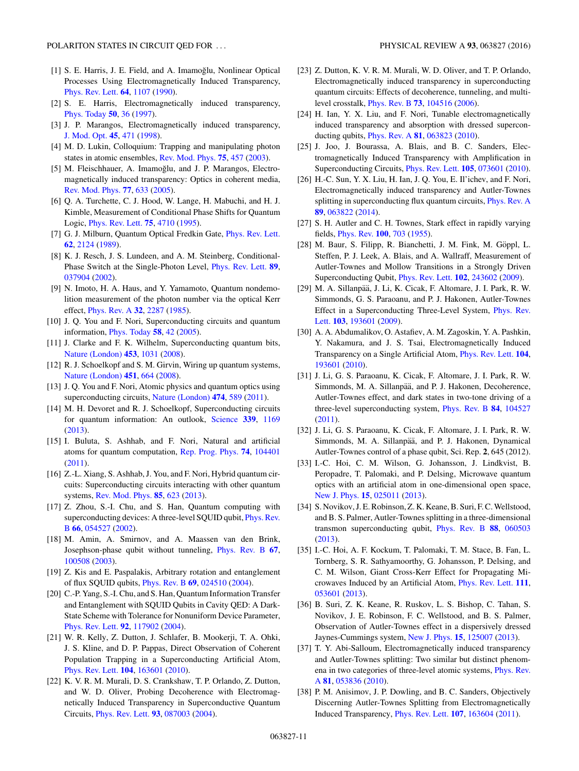- <span id="page-10-0"></span>[1] S. E. Harris, J. E. Field, and A. Imamoğlu, Nonlinear Optical Processes Using Electromagnetically Induced Transparency, [Phys. Rev. Lett.](http://dx.doi.org/10.1103/PhysRevLett.64.1107) **[64](http://dx.doi.org/10.1103/PhysRevLett.64.1107)**, [1107](http://dx.doi.org/10.1103/PhysRevLett.64.1107) [\(1990\)](http://dx.doi.org/10.1103/PhysRevLett.64.1107).
- [2] S. E. Harris, Electromagnetically induced transparency, [Phys. Today](http://dx.doi.org/10.1063/1.881806) **[50](http://dx.doi.org/10.1063/1.881806)**, [36](http://dx.doi.org/10.1063/1.881806) [\(1997\)](http://dx.doi.org/10.1063/1.881806).
- [3] J. P. Marangos, Electromagnetically induced transparency, [J. Mod. Opt.](http://dx.doi.org/10.1080/09500349808231909) **[45](http://dx.doi.org/10.1080/09500349808231909)**, [471](http://dx.doi.org/10.1080/09500349808231909) [\(1998\)](http://dx.doi.org/10.1080/09500349808231909).
- [4] M. D. Lukin, Colloquium: Trapping and manipulating photon states in atomic ensembles, [Rev. Mod. Phys.](http://dx.doi.org/10.1103/RevModPhys.75.457) **[75](http://dx.doi.org/10.1103/RevModPhys.75.457)**, [457](http://dx.doi.org/10.1103/RevModPhys.75.457) [\(2003\)](http://dx.doi.org/10.1103/RevModPhys.75.457).
- [5] M. Fleischhauer, A. Imamoğlu, and J. P. Marangos, Electromagnetically induced transparency: Optics in coherent media, [Rev. Mod. Phys.](http://dx.doi.org/10.1103/RevModPhys.77.633) **[77](http://dx.doi.org/10.1103/RevModPhys.77.633)**, [633](http://dx.doi.org/10.1103/RevModPhys.77.633) [\(2005\)](http://dx.doi.org/10.1103/RevModPhys.77.633).
- [6] Q. A. Turchette, C. J. Hood, W. Lange, H. Mabuchi, and H. J. Kimble, Measurement of Conditional Phase Shifts for Quantum Logic, [Phys. Rev. Lett.](http://dx.doi.org/10.1103/PhysRevLett.75.4710) **[75](http://dx.doi.org/10.1103/PhysRevLett.75.4710)**, [4710](http://dx.doi.org/10.1103/PhysRevLett.75.4710) [\(1995\)](http://dx.doi.org/10.1103/PhysRevLett.75.4710).
- [7] G. J. Milburn, Quantum Optical Fredkin Gate, *[Phys. Rev. Lett.](http://dx.doi.org/10.1103/PhysRevLett.62.2124)* **[62](http://dx.doi.org/10.1103/PhysRevLett.62.2124)**, [2124](http://dx.doi.org/10.1103/PhysRevLett.62.2124) [\(1989\)](http://dx.doi.org/10.1103/PhysRevLett.62.2124).
- [8] K. J. Resch, J. S. Lundeen, and A. M. Steinberg, Conditional-Phase Switch at the Single-Photon Level, [Phys. Rev. Lett.](http://dx.doi.org/10.1103/PhysRevLett.89.037904) **[89](http://dx.doi.org/10.1103/PhysRevLett.89.037904)**, [037904](http://dx.doi.org/10.1103/PhysRevLett.89.037904) [\(2002\)](http://dx.doi.org/10.1103/PhysRevLett.89.037904).
- [9] N. Imoto, H. A. Haus, and Y. Yamamoto, Quantum nondemolition measurement of the photon number via the optical Kerr effect, [Phys. Rev. A](http://dx.doi.org/10.1103/PhysRevA.32.2287) **[32](http://dx.doi.org/10.1103/PhysRevA.32.2287)**, [2287](http://dx.doi.org/10.1103/PhysRevA.32.2287) [\(1985\)](http://dx.doi.org/10.1103/PhysRevA.32.2287).
- [10] J. Q. You and F. Nori, Superconducting circuits and quantum information, [Phys. Today](http://dx.doi.org/10.1063/1.2155757) **[58](http://dx.doi.org/10.1063/1.2155757)**, [42](http://dx.doi.org/10.1063/1.2155757) [\(2005\)](http://dx.doi.org/10.1063/1.2155757).
- [11] J. Clarke and F. K. Wilhelm, Superconducting quantum bits, [Nature \(London\)](http://dx.doi.org/10.1038/nature07128) **[453](http://dx.doi.org/10.1038/nature07128)**, [1031](http://dx.doi.org/10.1038/nature07128) [\(2008\)](http://dx.doi.org/10.1038/nature07128).
- [12] R. J. Schoelkopf and S. M. Girvin, Wiring up quantum systems, [Nature \(London\)](http://dx.doi.org/10.1038/451664a) **[451](http://dx.doi.org/10.1038/451664a)**, [664](http://dx.doi.org/10.1038/451664a) [\(2008\)](http://dx.doi.org/10.1038/451664a).
- [13] J. Q. You and F. Nori, Atomic physics and quantum optics using superconducting circuits, [Nature \(London\)](http://dx.doi.org/10.1038/nature10122) **[474](http://dx.doi.org/10.1038/nature10122)**, [589](http://dx.doi.org/10.1038/nature10122) [\(2011\)](http://dx.doi.org/10.1038/nature10122).
- [14] M. H. Devoret and R. J. Schoelkopf, Superconducting circuits for quantum information: An outlook, [Science](http://dx.doi.org/10.1126/science.1231930) **[339](http://dx.doi.org/10.1126/science.1231930)**, [1169](http://dx.doi.org/10.1126/science.1231930) [\(2013\)](http://dx.doi.org/10.1126/science.1231930).
- [15] I. Buluta, S. Ashhab, and F. Nori, Natural and artificial atoms for quantum computation, [Rep. Prog. Phys.](http://dx.doi.org/10.1088/0034-4885/74/10/104401) **[74](http://dx.doi.org/10.1088/0034-4885/74/10/104401)**, [104401](http://dx.doi.org/10.1088/0034-4885/74/10/104401) [\(2011\)](http://dx.doi.org/10.1088/0034-4885/74/10/104401).
- [16] Z.-L. Xiang, S. Ashhab, J. You, and F. Nori, Hybrid quantum circuits: Superconducting circuits interacting with other quantum systems, [Rev. Mod. Phys.](http://dx.doi.org/10.1103/RevModPhys.85.623) **[85](http://dx.doi.org/10.1103/RevModPhys.85.623)**, [623](http://dx.doi.org/10.1103/RevModPhys.85.623) [\(2013\)](http://dx.doi.org/10.1103/RevModPhys.85.623).
- [17] Z. Zhou, S.-I. Chu, and S. Han, Quantum computing with [superconducting devices: A three-level SQUID qubit,](http://dx.doi.org/10.1103/PhysRevB.66.054527) Phys. Rev. B **[66](http://dx.doi.org/10.1103/PhysRevB.66.054527)**, [054527](http://dx.doi.org/10.1103/PhysRevB.66.054527) [\(2002\)](http://dx.doi.org/10.1103/PhysRevB.66.054527).
- [18] M. Amin, A. Smirnov, and A. Maassen van den Brink, Josephson-phase qubit without tunneling, [Phys. Rev. B](http://dx.doi.org/10.1103/PhysRevB.67.100508) **[67](http://dx.doi.org/10.1103/PhysRevB.67.100508)**, [100508](http://dx.doi.org/10.1103/PhysRevB.67.100508) [\(2003\)](http://dx.doi.org/10.1103/PhysRevB.67.100508).
- [19] Z. Kis and E. Paspalakis, Arbitrary rotation and entanglement of flux SQUID qubits, [Phys. Rev. B](http://dx.doi.org/10.1103/PhysRevB.69.024510) **[69](http://dx.doi.org/10.1103/PhysRevB.69.024510)**, [024510](http://dx.doi.org/10.1103/PhysRevB.69.024510) [\(2004\)](http://dx.doi.org/10.1103/PhysRevB.69.024510).
- [20] C.-P. Yang, S.-I. Chu, and S. Han, Quantum Information Transfer and Entanglement with SQUID Qubits in Cavity QED: A Dark-State Scheme with Tolerance for Nonuniform Device Parameter, [Phys. Rev. Lett.](http://dx.doi.org/10.1103/PhysRevLett.92.117902) **[92](http://dx.doi.org/10.1103/PhysRevLett.92.117902)**, [117902](http://dx.doi.org/10.1103/PhysRevLett.92.117902) [\(2004\)](http://dx.doi.org/10.1103/PhysRevLett.92.117902).
- [21] W. R. Kelly, Z. Dutton, J. Schlafer, B. Mookerji, T. A. Ohki, J. S. Kline, and D. P. Pappas, Direct Observation of Coherent Population Trapping in a Superconducting Artificial Atom, [Phys. Rev. Lett.](http://dx.doi.org/10.1103/PhysRevLett.104.163601) **[104](http://dx.doi.org/10.1103/PhysRevLett.104.163601)**, [163601](http://dx.doi.org/10.1103/PhysRevLett.104.163601) [\(2010\)](http://dx.doi.org/10.1103/PhysRevLett.104.163601).
- [22] K. V. R. M. Murali, D. S. Crankshaw, T. P. Orlando, Z. Dutton, and W. D. Oliver, Probing Decoherence with Electromagnetically Induced Transparency in Superconductive Quantum Circuits, [Phys. Rev. Lett.](http://dx.doi.org/10.1103/PhysRevLett.93.087003) **[93](http://dx.doi.org/10.1103/PhysRevLett.93.087003)**, [087003](http://dx.doi.org/10.1103/PhysRevLett.93.087003) [\(2004\)](http://dx.doi.org/10.1103/PhysRevLett.93.087003).
- [23] Z. Dutton, K. V. R. M. Murali, W. D. Oliver, and T. P. Orlando, Electromagnetically induced transparency in superconducting quantum circuits: Effects of decoherence, tunneling, and multilevel crosstalk, [Phys. Rev. B](http://dx.doi.org/10.1103/PhysRevB.73.104516) **[73](http://dx.doi.org/10.1103/PhysRevB.73.104516)**, [104516](http://dx.doi.org/10.1103/PhysRevB.73.104516) [\(2006\)](http://dx.doi.org/10.1103/PhysRevB.73.104516).
- [24] H. Ian, Y. X. Liu, and F. Nori, Tunable electromagnetically induced transparency and absorption with dressed superconducting qubits, [Phys. Rev. A](http://dx.doi.org/10.1103/PhysRevA.81.063823) **[81](http://dx.doi.org/10.1103/PhysRevA.81.063823)**, [063823](http://dx.doi.org/10.1103/PhysRevA.81.063823) [\(2010\)](http://dx.doi.org/10.1103/PhysRevA.81.063823).
- [25] J. Joo, J. Bourassa, A. Blais, and B. C. Sanders, Electromagnetically Induced Transparency with Amplification in Superconducting Circuits, [Phys. Rev. Lett.](http://dx.doi.org/10.1103/PhysRevLett.105.073601) **[105](http://dx.doi.org/10.1103/PhysRevLett.105.073601)**, [073601](http://dx.doi.org/10.1103/PhysRevLett.105.073601) [\(2010\)](http://dx.doi.org/10.1103/PhysRevLett.105.073601).
- [26] H.-C. Sun, Y. X. Liu, H. Ian, J. Q. You, E. Il'ichev, and F. Nori, Electromagnetically induced transparency and Autler-Townes splitting in superconducting flux quantum circuits, [Phys. Rev. A](http://dx.doi.org/10.1103/PhysRevA.89.063822) **[89](http://dx.doi.org/10.1103/PhysRevA.89.063822)**, [063822](http://dx.doi.org/10.1103/PhysRevA.89.063822) [\(2014\)](http://dx.doi.org/10.1103/PhysRevA.89.063822).
- [27] S. H. Autler and C. H. Townes, Stark effect in rapidly varying fields, [Phys. Rev.](http://dx.doi.org/10.1103/PhysRev.100.703) **[100](http://dx.doi.org/10.1103/PhysRev.100.703)**, [703](http://dx.doi.org/10.1103/PhysRev.100.703) [\(1955\)](http://dx.doi.org/10.1103/PhysRev.100.703).
- [28] M. Baur, S. Filipp, R. Bianchetti, J. M. Fink, M. Göppl, L. Steffen, P. J. Leek, A. Blais, and A. Wallraff, Measurement of Autler-Townes and Mollow Transitions in a Strongly Driven Superconducting Qubit, [Phys. Rev. Lett.](http://dx.doi.org/10.1103/PhysRevLett.102.243602) **[102](http://dx.doi.org/10.1103/PhysRevLett.102.243602)**, [243602](http://dx.doi.org/10.1103/PhysRevLett.102.243602) [\(2009\)](http://dx.doi.org/10.1103/PhysRevLett.102.243602).
- [29] M. A. Sillanpää, J. Li, K. Cicak, F. Altomare, J. I. Park, R. W. Simmonds, G. S. Paraoanu, and P. J. Hakonen, Autler-Townes [Effect in a Superconducting Three-Level System,](http://dx.doi.org/10.1103/PhysRevLett.103.193601) Phys. Rev. Lett. **[103](http://dx.doi.org/10.1103/PhysRevLett.103.193601)**, [193601](http://dx.doi.org/10.1103/PhysRevLett.103.193601) [\(2009\)](http://dx.doi.org/10.1103/PhysRevLett.103.193601).
- [30] A. A. Abdumalikov, O. Astafiev, A. M. Zagoskin, Y. A. Pashkin, Y. Nakamura, and J. S. Tsai, Electromagnetically Induced Transparency on a Single Artificial Atom, [Phys. Rev. Lett.](http://dx.doi.org/10.1103/PhysRevLett.104.193601) **[104](http://dx.doi.org/10.1103/PhysRevLett.104.193601)**, [193601](http://dx.doi.org/10.1103/PhysRevLett.104.193601) [\(2010\)](http://dx.doi.org/10.1103/PhysRevLett.104.193601).
- [31] J. Li, G. S. Paraoanu, K. Cicak, F. Altomare, J. I. Park, R. W. Simmonds, M. A. Sillanpää, and P. J. Hakonen, Decoherence, Autler-Townes effect, and dark states in two-tone driving of a three-level superconducting system, [Phys. Rev. B](http://dx.doi.org/10.1103/PhysRevB.84.104527) **[84](http://dx.doi.org/10.1103/PhysRevB.84.104527)**, [104527](http://dx.doi.org/10.1103/PhysRevB.84.104527) [\(2011\)](http://dx.doi.org/10.1103/PhysRevB.84.104527).
- [32] J. Li, G. S. Paraoanu, K. Cicak, F. Altomare, J. I. Park, R. W. Simmonds, M. A. Sillanpää, and P. J. Hakonen, Dynamical Autler-Townes control of a phase qubit, Sci. Rep. **2**, 645 (2012).
- [33] I.-C. Hoi, C. M. Wilson, G. Johansson, J. Lindkvist, B. Peropadre, T. Palomaki, and P. Delsing, Microwave quantum optics with an artificial atom in one-dimensional open space, [New J. Phys.](http://dx.doi.org/10.1088/1367-2630/15/2/025011) **[15](http://dx.doi.org/10.1088/1367-2630/15/2/025011)**, [025011](http://dx.doi.org/10.1088/1367-2630/15/2/025011) [\(2013\)](http://dx.doi.org/10.1088/1367-2630/15/2/025011).
- [34] S. Novikov, J. E. Robinson, Z. K. Keane, B. Suri, F. C. Wellstood, and B. S. Palmer, Autler-Townes splitting in a three-dimensional transmon superconducting qubit, [Phys. Rev. B](http://dx.doi.org/10.1103/PhysRevB.88.060503) **[88](http://dx.doi.org/10.1103/PhysRevB.88.060503)**, [060503](http://dx.doi.org/10.1103/PhysRevB.88.060503) [\(2013\)](http://dx.doi.org/10.1103/PhysRevB.88.060503).
- [35] I.-C. Hoi, A. F. Kockum, T. Palomaki, T. M. Stace, B. Fan, L. Tornberg, S. R. Sathyamoorthy, G. Johansson, P. Delsing, and C. M. Wilson, Giant Cross-Kerr Effect for Propagating Microwaves Induced by an Artificial Atom, [Phys. Rev. Lett.](http://dx.doi.org/10.1103/PhysRevLett.111.053601) **[111](http://dx.doi.org/10.1103/PhysRevLett.111.053601)**, [053601](http://dx.doi.org/10.1103/PhysRevLett.111.053601) [\(2013\)](http://dx.doi.org/10.1103/PhysRevLett.111.053601).
- [36] B. Suri, Z. K. Keane, R. Ruskov, L. S. Bishop, C. Tahan, S. Novikov, J. E. Robinson, F. C. Wellstood, and B. S. Palmer, Observation of Autler-Townes effect in a dispersively dressed Jaynes-Cummings system, [New J. Phys.](http://dx.doi.org/10.1088/1367-2630/15/12/125007) **[15](http://dx.doi.org/10.1088/1367-2630/15/12/125007)**, [125007](http://dx.doi.org/10.1088/1367-2630/15/12/125007) [\(2013\)](http://dx.doi.org/10.1088/1367-2630/15/12/125007).
- [37] T. Y. Abi-Salloum, Electromagnetically induced transparency and Autler-Townes splitting: Two similar but distinct phenom[ena in two categories of three-level atomic systems,](http://dx.doi.org/10.1103/PhysRevA.81.053836) Phys. Rev. A **[81](http://dx.doi.org/10.1103/PhysRevA.81.053836)**, [053836](http://dx.doi.org/10.1103/PhysRevA.81.053836) [\(2010\)](http://dx.doi.org/10.1103/PhysRevA.81.053836).
- [38] P. M. Anisimov, J. P. Dowling, and B. C. Sanders, Objectively Discerning Autler-Townes Splitting from Electromagnetically Induced Transparency, [Phys. Rev. Lett.](http://dx.doi.org/10.1103/PhysRevLett.107.163604) **[107](http://dx.doi.org/10.1103/PhysRevLett.107.163604)**, [163604](http://dx.doi.org/10.1103/PhysRevLett.107.163604) [\(2011\)](http://dx.doi.org/10.1103/PhysRevLett.107.163604).